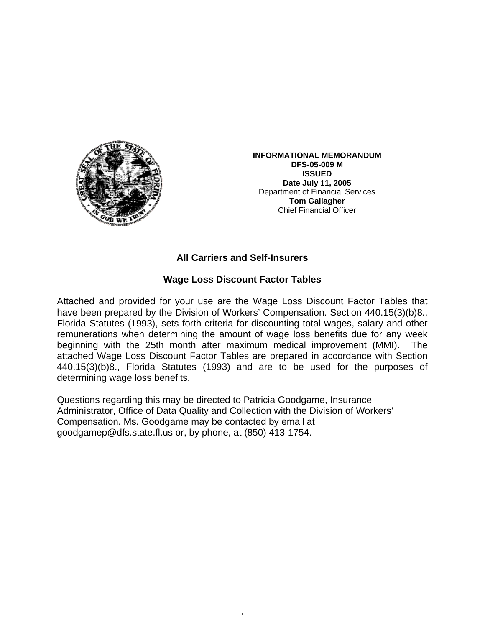

**INFORMATIONAL MEMORANDUM DFS-05-009 M ISSUED Date July 11, 2005**  Department of Financial Services **Tom Gallagher** Chief Financial Officer

## **All Carriers and Self-Insurers**

## **Wage Loss Discount Factor Tables**

Attached and provided for your use are the Wage Loss Discount Factor Tables that have been prepared by the Division of Workers' Compensation. Section 440.15(3)(b)8., Florida Statutes (1993), sets forth criteria for discounting total wages, salary and other remunerations when determining the amount of wage loss benefits due for any week beginning with the 25th month after maximum medical improvement (MMI). The attached Wage Loss Discount Factor Tables are prepared in accordance with Section 440.15(3)(b)8., Florida Statutes (1993) and are to be used for the purposes of determining wage loss benefits.

•

Questions regarding this may be directed to Patricia Goodgame, Insurance Administrator, Office of Data Quality and Collection with the Division of Workers' Compensation. Ms. Goodgame may be contacted by email at goodgamep@dfs.state.fl.us or, by phone, at (850) 413-1754.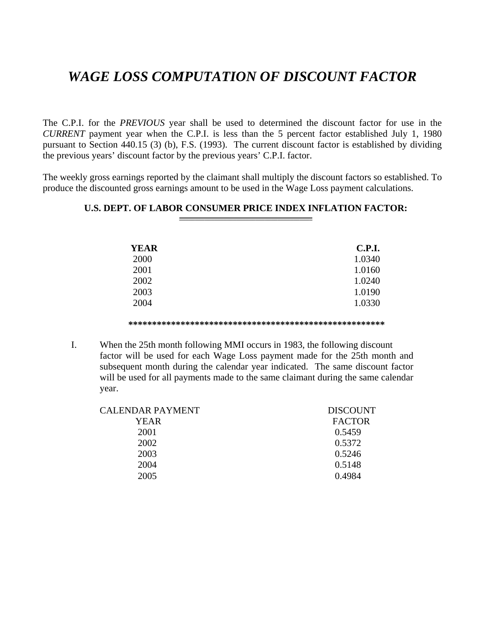## *WAGE LOSS COMPUTATION OF DISCOUNT FACTOR*

The C.P.I. for the *PREVIOUS* year shall be used to determined the discount factor for use in the *CURRENT* payment year when the C.P.I. is less than the 5 percent factor established July 1, 1980 pursuant to Section 440.15 (3) (b), F.S. (1993). The current discount factor is established by dividing the previous years' discount factor by the previous years' C.P.I. factor.

The weekly gross earnings reported by the claimant shall multiply the discount factors so established. To produce the discounted gross earnings amount to be used in the Wage Loss payment calculations.

| <b>YEAR</b> | <b>C.P.I.</b> |
|-------------|---------------|
| 2000        | 1.0340        |
| 2001        | 1.0160        |
| 2002        | 1.0240        |
| 2003        | 1.0190        |
| 2004        | 1.0330        |
|             |               |

## **U.S. DEPT. OF LABOR CONSUMER PRICE INDEX INFLATION FACTOR:**

**\*\*\*\*\*\*\*\*\*\*\*\*\*\*\*\*\*\*\*\*\*\*\*\*\*\*\*\*\*\*\*\*\*\*\*\*\*\*\*\*\*\*\*\*\*\*\*\*\*\*\*\*\*\*** 

I. When the 25th month following MMI occurs in 1983, the following discount factor will be used for each Wage Loss payment made for the 25th month and subsequent month during the calendar year indicated. The same discount factor will be used for all payments made to the same claimant during the same calendar year.

| <b>DISCOUNT</b> |
|-----------------|
| <b>FACTOR</b>   |
| 0.5459          |
| 0.5372          |
| 0.5246          |
| 0.5148          |
| 0.4984          |
|                 |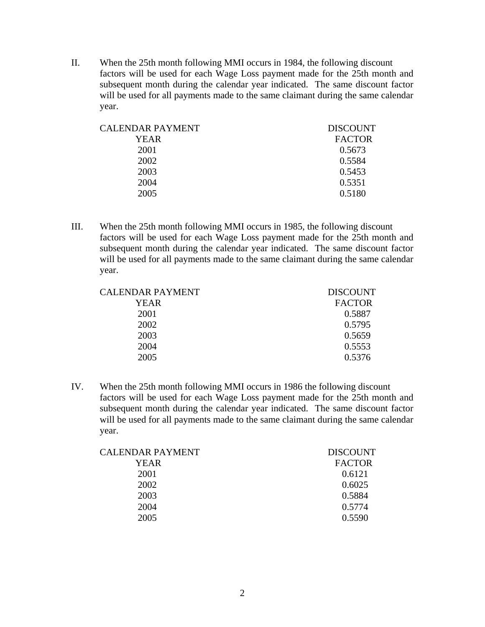II. When the 25th month following MMI occurs in 1984, the following discount factors will be used for each Wage Loss payment made for the 25th month and subsequent month during the calendar year indicated. The same discount factor will be used for all payments made to the same claimant during the same calendar year.

| <b>DISCOUNT</b> |
|-----------------|
| <b>FACTOR</b>   |
| 0.5673          |
| 0.5584          |
| 0.5453          |
| 0.5351          |
| 0.5180          |
|                 |

III. When the 25th month following MMI occurs in 1985, the following discount factors will be used for each Wage Loss payment made for the 25th month and subsequent month during the calendar year indicated. The same discount factor will be used for all payments made to the same claimant during the same calendar year.

| CALENDAR PAYMENT | <b>DISCOUNT</b> |
|------------------|-----------------|
| YEAR             | <b>FACTOR</b>   |
| 2001             | 0.5887          |
| 2002             | 0.5795          |
| 2003             | 0.5659          |
| 2004             | 0.5553          |
| 2005             | 0.5376          |

IV. When the 25th month following MMI occurs in 1986 the following discount factors will be used for each Wage Loss payment made for the 25th month and subsequent month during the calendar year indicated. The same discount factor will be used for all payments made to the same claimant during the same calendar year.

| CALENDAR PAYMENT | <b>DISCOUNT</b> |
|------------------|-----------------|
| YEAR             | <b>FACTOR</b>   |
| 2001             | 0.6121          |
| 2002             | 0.6025          |
| 2003             | 0.5884          |
| 2004             | 0.5774          |
| 2005             | 0.5590          |
|                  |                 |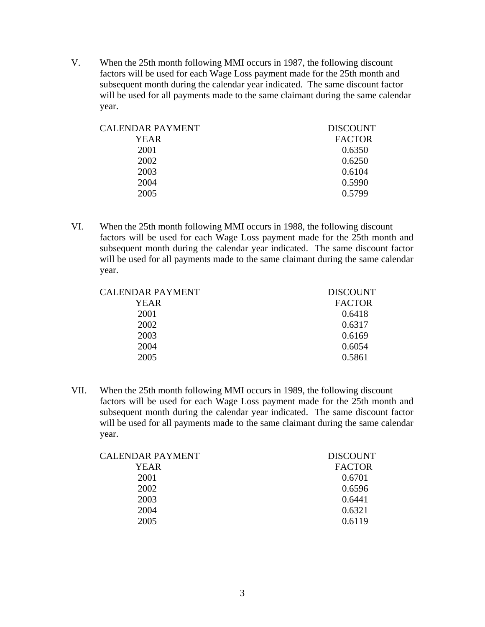V. When the 25th month following MMI occurs in 1987, the following discount factors will be used for each Wage Loss payment made for the 25th month and subsequent month during the calendar year indicated. The same discount factor will be used for all payments made to the same claimant during the same calendar year.

| CALENDAR PAYMENT | <b>DISCOUNT</b> |
|------------------|-----------------|
| YEAR             | <b>FACTOR</b>   |
| 2001             | 0.6350          |
| 2002             | 0.6250          |
| 2003             | 0.6104          |
| 2004             | 0.5990          |
| 2005             | 0.5799          |
|                  |                 |

VI. When the 25th month following MMI occurs in 1988, the following discount factors will be used for each Wage Loss payment made for the 25th month and subsequent month during the calendar year indicated. The same discount factor will be used for all payments made to the same claimant during the same calendar year.

| CALENDAR PAYMENT | <b>DISCOUNT</b> |
|------------------|-----------------|
| YEAR             | <b>FACTOR</b>   |
| 2001             | 0.6418          |
| 2002             | 0.6317          |
| 2003             | 0.6169          |
| 2004             | 0.6054          |
| 2005             | 0.5861          |

VII. When the 25th month following MMI occurs in 1989, the following discount factors will be used for each Wage Loss payment made for the 25th month and subsequent month during the calendar year indicated. The same discount factor will be used for all payments made to the same claimant during the same calendar year.

| <b>DISCOUNT</b> |
|-----------------|
| <b>FACTOR</b>   |
| 0.6701          |
| 0.6596          |
| 0.6441          |
| 0.6321          |
| 0.6119          |
|                 |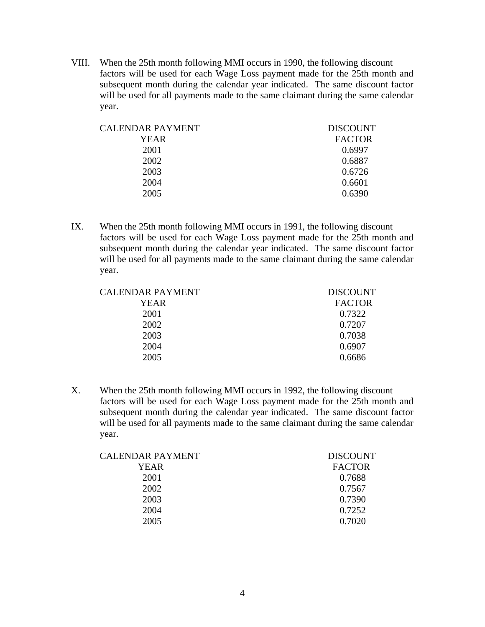VIII. When the 25th month following MMI occurs in 1990, the following discount factors will be used for each Wage Loss payment made for the 25th month and subsequent month during the calendar year indicated. The same discount factor will be used for all payments made to the same claimant during the same calendar year.

| <b>CALENDAR PAYMENT</b> | <b>DISCOUNT</b> |
|-------------------------|-----------------|
| YEAR                    | <b>FACTOR</b>   |
| 2001                    | 0.6997          |
| 2002                    | 0.6887          |
| 2003                    | 0.6726          |
| 2004                    | 0.6601          |
| 2005                    | 0.6390          |
|                         |                 |

IX. When the 25th month following MMI occurs in 1991, the following discount factors will be used for each Wage Loss payment made for the 25th month and subsequent month during the calendar year indicated. The same discount factor will be used for all payments made to the same claimant during the same calendar year.

| <b>CALENDAR PAYMENT</b> | <b>DISCOUNT</b> |
|-------------------------|-----------------|
| YEAR                    | <b>FACTOR</b>   |
| 2001                    | 0.7322          |
| 2002                    | 0.7207          |
| 2003                    | 0.7038          |
| 2004                    | 0.6907          |
| 2005                    | 0.6686          |

X. When the 25th month following MMI occurs in 1992, the following discount factors will be used for each Wage Loss payment made for the 25th month and subsequent month during the calendar year indicated. The same discount factor will be used for all payments made to the same claimant during the same calendar year.

| <b>DISCOUNT</b> |
|-----------------|
| <b>FACTOR</b>   |
| 0.7688          |
| 0.7567          |
| 0.7390          |
| 0.7252          |
| 0.7020          |
|                 |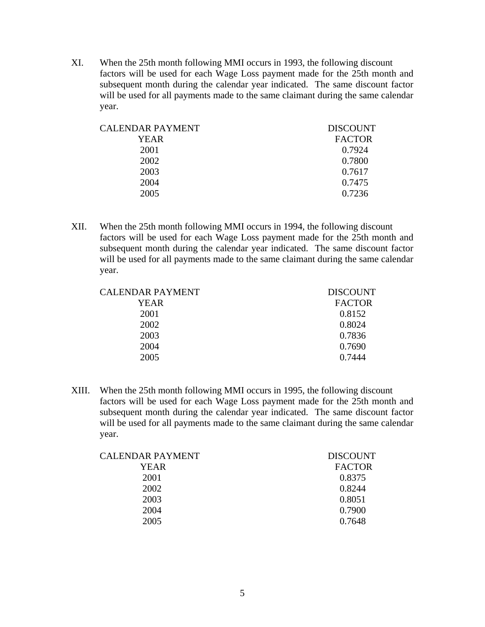XI. When the 25th month following MMI occurs in 1993, the following discount factors will be used for each Wage Loss payment made for the 25th month and subsequent month during the calendar year indicated. The same discount factor will be used for all payments made to the same claimant during the same calendar year.

| <b>DISCOUNT</b> |
|-----------------|
| <b>FACTOR</b>   |
| 0.7924          |
| 0.7800          |
| 0.7617          |
| 0.7475          |
| 0.7236          |
|                 |

XII. When the 25th month following MMI occurs in 1994, the following discount factors will be used for each Wage Loss payment made for the 25th month and subsequent month during the calendar year indicated. The same discount factor will be used for all payments made to the same claimant during the same calendar year.

| CALENDAR PAYMENT | <b>DISCOUNT</b> |
|------------------|-----------------|
| YEAR             | <b>FACTOR</b>   |
| 2001             | 0.8152          |
| 2002             | 0.8024          |
| 2003             | 0.7836          |
| 2004             | 0.7690          |
| 2005             | 0.7444          |

XIII. When the 25th month following MMI occurs in 1995, the following discount factors will be used for each Wage Loss payment made for the 25th month and subsequent month during the calendar year indicated. The same discount factor will be used for all payments made to the same claimant during the same calendar year.

| <b>CALENDAR PAYMENT</b> | <b>DISCOUNT</b> |
|-------------------------|-----------------|
| YEAR                    | <b>FACTOR</b>   |
| 2001                    | 0.8375          |
| 2002                    | 0.8244          |
| 2003                    | 0.8051          |
| 2004                    | 0.7900          |
| 2005                    | 0.7648          |
|                         |                 |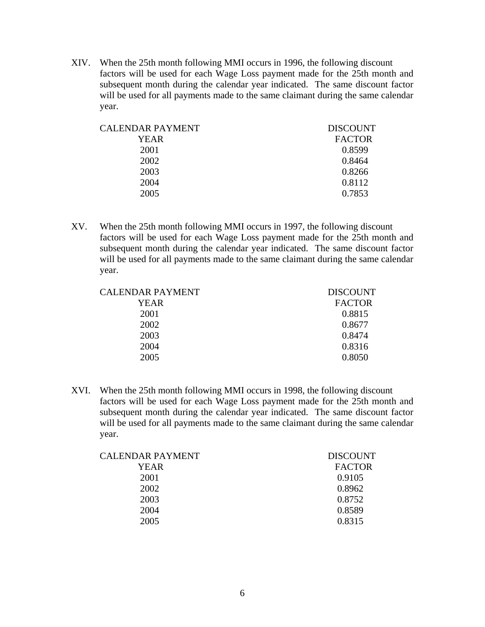XIV. When the 25th month following MMI occurs in 1996, the following discount factors will be used for each Wage Loss payment made for the 25th month and subsequent month during the calendar year indicated. The same discount factor will be used for all payments made to the same claimant during the same calendar year.

| <b>DISCOUNT</b> |
|-----------------|
| <b>FACTOR</b>   |
| 0.8599          |
| 0.8464          |
| 0.8266          |
| 0.8112          |
| 0.7853          |
|                 |

XV. When the 25th month following MMI occurs in 1997, the following discount factors will be used for each Wage Loss payment made for the 25th month and subsequent month during the calendar year indicated. The same discount factor will be used for all payments made to the same claimant during the same calendar year.

| <b>CALENDAR PAYMENT</b> | <b>DISCOUNT</b> |
|-------------------------|-----------------|
| YEAR                    | <b>FACTOR</b>   |
| 2001                    | 0.8815          |
| 2002                    | 0.8677          |
| 2003                    | 0.8474          |
| 2004                    | 0.8316          |
| 2005                    | 0.8050          |

XVI. When the 25th month following MMI occurs in 1998, the following discount factors will be used for each Wage Loss payment made for the 25th month and subsequent month during the calendar year indicated. The same discount factor will be used for all payments made to the same claimant during the same calendar year.

| <b>CALENDAR PAYMENT</b> | <b>DISCOUNT</b> |
|-------------------------|-----------------|
| YEAR                    | <b>FACTOR</b>   |
| 2001                    | 0.9105          |
| 2002                    | 0.8962          |
| 2003                    | 0.8752          |
| 2004                    | 0.8589          |
| 2005                    | 0.8315          |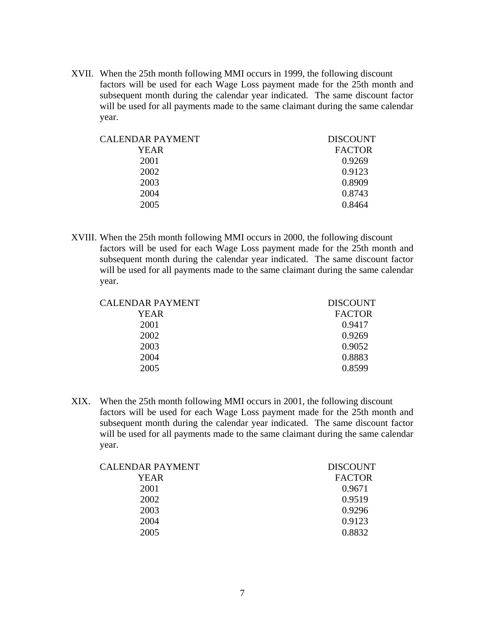XVII. When the 25th month following MMI occurs in 1999, the following discount factors will be used for each Wage Loss payment made for the 25th month and subsequent month during the calendar year indicated. The same discount factor will be used for all payments made to the same claimant during the same calendar year.

| CALENDAR PAYMENT | <b>DISCOUNT</b> |
|------------------|-----------------|
| YEAR             | <b>FACTOR</b>   |
| 2001             | 0.9269          |
| 2002             | 0.9123          |
| 2003             | 0.8909          |
| 2004             | 0.8743          |
| 2005             | 0.8464          |
|                  |                 |

XVIII. When the 25th month following MMI occurs in 2000, the following discount factors will be used for each Wage Loss payment made for the 25th month and subsequent month during the calendar year indicated. The same discount factor will be used for all payments made to the same claimant during the same calendar year.

| CALENDAR PAYMENT | <b>DISCOUNT</b> |
|------------------|-----------------|
| YEAR             | <b>FACTOR</b>   |
| 2001             | 0.9417          |
| 2002             | 0.9269          |
| 2003             | 0.9052          |
| 2004             | 0.8883          |
| 2005             | 0.8599          |

XIX. When the 25th month following MMI occurs in 2001, the following discount factors will be used for each Wage Loss payment made for the 25th month and subsequent month during the calendar year indicated. The same discount factor will be used for all payments made to the same claimant during the same calendar year.

| <b>CALENDAR PAYMENT</b> | <b>DISCOUNT</b> |
|-------------------------|-----------------|
| YEAR                    | <b>FACTOR</b>   |
| 2001                    | 0.9671          |
| 2002                    | 0.9519          |
| 2003                    | 0.9296          |
| 2004                    | 0.9123          |
| 2005                    | 0.8832          |
|                         |                 |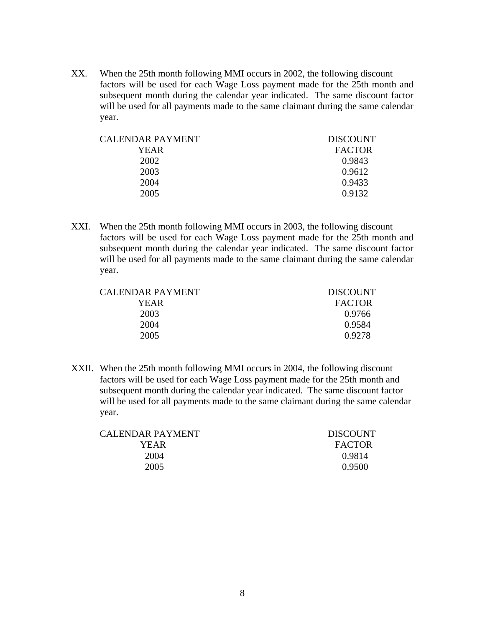XX. When the 25th month following MMI occurs in 2002, the following discount factors will be used for each Wage Loss payment made for the 25th month and subsequent month during the calendar year indicated. The same discount factor will be used for all payments made to the same claimant during the same calendar year.

| CALENDAR PAYMENT | <b>DISCOUNT</b> |
|------------------|-----------------|
| YEAR             | <b>FACTOR</b>   |
| 2002             | 0.9843          |
| 2003             | 0.9612          |
| 2004             | 0.9433          |
| 2005             | 0.9132          |
|                  |                 |

XXI. When the 25th month following MMI occurs in 2003, the following discount factors will be used for each Wage Loss payment made for the 25th month and subsequent month during the calendar year indicated. The same discount factor will be used for all payments made to the same claimant during the same calendar year.

| CALENDAR PAYMENT | <b>DISCOUNT</b> |
|------------------|-----------------|
| YEAR             | <b>FACTOR</b>   |
| 2003             | 0.9766          |
| 2004             | 0.9584          |
| 2005             | 0.9278          |
|                  |                 |

XXII. When the 25th month following MMI occurs in 2004, the following discount factors will be used for each Wage Loss payment made for the 25th month and subsequent month during the calendar year indicated. The same discount factor will be used for all payments made to the same claimant during the same calendar year.

| <b>DISCOUNT</b> |
|-----------------|
| <b>FACTOR</b>   |
| 0.9814          |
| 0.9500          |
|                 |